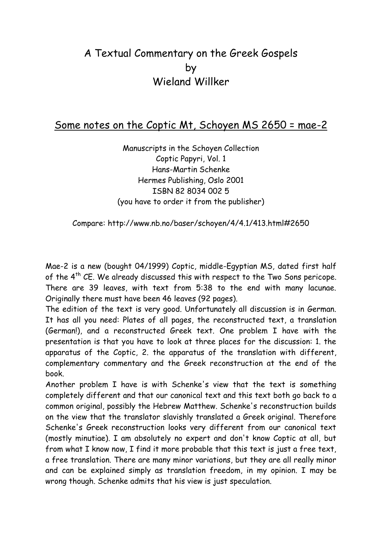## A Textual Commentary on the Greek Gospels by Wieland Willker

## Some notes on the Coptic Mt, Schoyen MS 2650 = mae-2

Manuscripts in the Schoyen Collection Coptic Papyri, Vol. 1 Hans-Martin Schenke Hermes Publishing, Oslo 2001 ISBN 82 8034 002 5 (you have to order it from the publisher)

Compare: http://www.nb.no/baser/schoyen/4/4.1/413.html#2650

Mae-2 is a new (bought 04/1999) Coptic, middle-Egyptian MS, dated first half of the 4<sup>th</sup> CE. We already discussed this with respect to the Two Sons pericope. There are 39 leaves, with text from 5:38 to the end with many lacunae. Originally there must have been 46 leaves (92 pages).

The edition of the text is very good. Unfortunately all discussion is in German. It has all you need: Plates of all pages, the reconstructed text, a translation (German!), and a reconstructed Greek text. One problem I have with the presentation is that you have to look at three places for the discussion: 1. the apparatus of the Coptic, 2. the apparatus of the translation with different, complementary commentary and the Greek reconstruction at the end of the book.

Another problem I have is with Schenke's view that the text is something completely different and that our canonical text and this text both go back to a common original, possibly the Hebrew Matthew. Schenke's reconstruction builds on the view that the translator slavishly translated a Greek original. Therefore Schenke's Greek reconstruction looks very different from our canonical text (mostly minutiae). I am absolutely no expert and don't know Coptic at all, but from what I know now, I find it more probable that this text is just a free text, a free translation. There are many minor variations, but they are all really minor and can be explained simply as translation freedom, in my opinion. I may be wrong though. Schenke admits that his view is just speculation.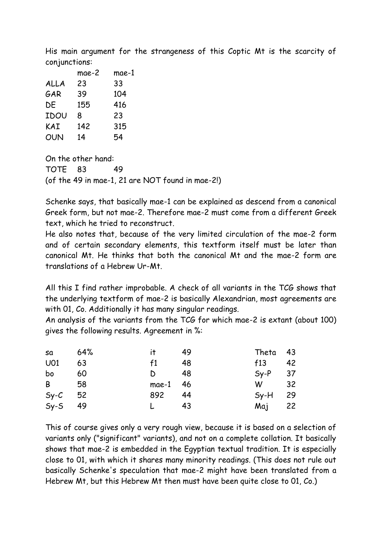His main argument for the strangeness of this Coptic Mt is the scarcity of conjunctions:

|      | mae-2 | mae-1 |  |
|------|-------|-------|--|
| ALLA | 23    | 33    |  |
| GAR  | 39    | 104   |  |
| DE   | 155   | 416   |  |
| IDOU | 8     | 23    |  |
| KAI  | 142   | 315   |  |
| OUN  | 14    | 54    |  |

On the other hand: TOTE 83 49 (of the 49 in mae-1, 21 are NOT found in mae-2!)

Schenke says, that basically mae-1 can be explained as descend from a canonical Greek form, but not mae-2. Therefore mae-2 must come from a different Greek text, which he tried to reconstruct.

He also notes that, because of the very limited circulation of the mae-2 form and of certain secondary elements, this textform itself must be later than canonical Mt. He thinks that both the canonical Mt and the mae-2 form are translations of a Hebrew Ur-Mt.

All this I find rather improbable. A check of all variants in the TCG shows that the underlying textform of mae-2 is basically Alexandrian, most agreements are with 01, Co. Additionally it has many singular readings.

An analysis of the variants from the TCG for which mae-2 is extant (about 100) gives the following results. Agreement in %:

| $sa$ 64%        |    | it $49$   |    | Theta 43  |  |
|-----------------|----|-----------|----|-----------|--|
| U <sub>01</sub> | 63 | f1        | 48 | $f13$ 42  |  |
| bo 60           |    | D 48      |    | $Sy-P$ 37 |  |
| B 58            |    | mae-1 46  |    | $W$ 32    |  |
| $Sy-C$ 52       |    | 892 44    |    | $Sy-H$ 29 |  |
| $Sy-S$ 49       |    | $L \t 43$ |    | Maj 22    |  |

This of course gives only a very rough view, because it is based on a selection of variants only ("significant" variants), and not on a complete collation. It basically shows that mae-2 is embedded in the Egyptian textual tradition. It is especially close to 01, with which it shares many minority readings. (This does not rule out basically Schenke's speculation that mae-2 might have been translated from a Hebrew Mt, but this Hebrew Mt then must have been quite close to 01, Co.)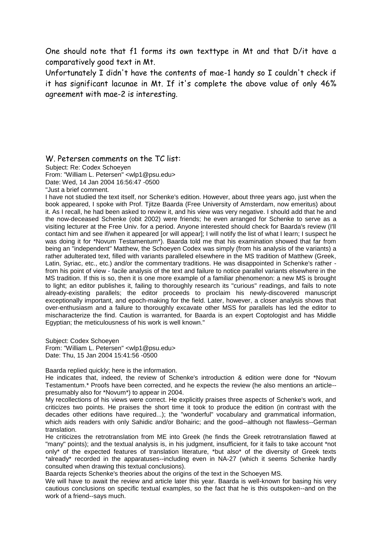One should note that f1 forms its own texttype in Mt and that D/it have a comparatively good text in Mt.

Unfortunately I didn't have the contents of mae-1 handy so I couldn't check if it has significant lacunae in Mt. If it's complete the above value of only 46% agreement with mae-2 is interesting.

W. Petersen comments on the TC list:

Subject: Re: Codex Schoeyen

From: "William L. Petersen" <wlp1@psu.edu> Date: Wed, 14 Jan 2004 16:56:47 -0500

"Just a brief comment.

I have not studied the text itself, nor Schenke's edition. However, about three years ago, just when the book appeared, I spoke with Prof. Tjitze Baarda (Free University of Amsterdam, now emeritus) about it. As I recall, he had been asked to review it, and his view was very negative. I should add that he and the now-deceased Schenke (obit 2002) were friends; he even arranged for Schenke to serve as a visiting lecturer at the Free Univ. for a period. Anyone interested should check for Baarda's review (I'll contact him and see if/when it appeared [or will appear]; I will notify the list of what I learn; I suspect he was doing it for \*Novum Testamentum\*). Baarda told me that his examination showed that far from being an "independent" Matthew, the Schoeyen Codex was simply (from his analysis of the variants) a rather adulterated text, filled with variants paralleled elsewhere in the MS tradition of Matthew (Greek, Latin, Syriac, etc., etc.) and/or the commentary traditions. He was disappointed in Schenke's rather from his point of view - facile analysis of the text and failure to notice parallel variants elsewhere in the MS tradition. If this is so, then it is one more example of a familiar phenomenon: a new MS is brought to light; an editor publishes it, failing to thoroughly research its "curious" readings, and fails to note already-existing parallels; the editor proceeds to proclaim his newly-discovered manuscript exceptionally important, and epoch-making for the field. Later, however, a closer analysis shows that over-enthusiasm and a failure to thoroughly excavate other MSS for parallels has led the editor to mischaracterize the find. Caution is warranted, for Baarda is an expert Coptologist and has Middle Egyptian; the meticulousness of his work is well known."

Subject: Codex Schoeyen From: "William L. Petersen" <wlp1@psu.edu> Date: Thu, 15 Jan 2004 15:41:56 -0500

Baarda replied quickly; here is the information.

He indicates that, indeed, the review of Schenke's introduction & edition were done for \*Novum Testamentum.\* Proofs have been corrected, and he expects the review (he also mentions an article- presumably also for \*Novum\*) to appear in 2004.

My recollections of his views were correct. He explicitly praises three aspects of Schenke's work, and criticizes two points. He praises the short time it took to produce the edition (in contrast with the decades other editions have required...); the "wonderful" vocabulary and grammatical information, which aids readers with only Sahidic and/or Bohairic; and the good--although not flawless--German translation.

He criticizes the retrotranslation from ME into Greek (he finds the Greek retrotranslation flawed at "many" points); and the textual analysis is, in his judgment, insufficient, for it fails to take account \*not only\* of the expected features of translation literature, \*but also\* of the diversity of Greek texts \*already\* recorded in the apparatuses--including even in NA-27 (which it seems Schenke hardly consulted when drawing this textual conclusions).

Baarda rejects Schenke's theories about the origins of the text in the Schoeyen MS.

We will have to await the review and article later this year. Baarda is well-known for basing his very cautious conclusions on specific textual examples, so the fact that he is this outspoken--and on the work of a friend--says much.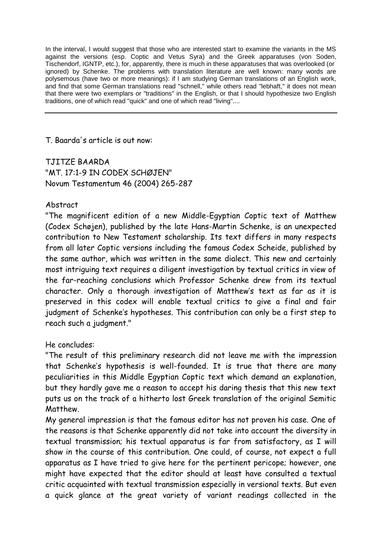In the interval, I would suggest that those who are interested start to examine the variants in the MS against the versions (esp. Coptic and Vetus Syra) and the Greek apparatuses (von Soden, Tischendorf, IGNTP, etc.), for, apparently, there is much in these apparatuses that was overlooked (or ignored) by Schenke. The problems with translation literature are well known: many words are polysemous (have two or more meanings): if I am studying German translations of an English work, and find that some German translations read "schnell," while others read "lebhaft," it does not mean that there were two exemplars or "traditions" in the English, or that I should hypothesize two English traditions, one of which read "quick" and one of which read "living"....

T. Baarda's article is out now:

TJITZE BAARDA "MT. 17:1-9 IN CODEX SCHØJEN" Novum Testamentum 46 (2004) 265-287

## Abstract

"The magnificent edition of a new Middle-Egyptian Coptic text of Matthew (Codex Schøjen), published by the late Hans-Martin Schenke, is an unexpected contribution to New Testament scholarship. Its text differs in many respects from all later Coptic versions including the famous Codex Scheide, published by the same author, which was written in the same dialect. This new and certainly most intriguing text requires a diligent investigation by textual critics in view of the far-reaching conclusions which Professor Schenke drew from its textual character. Only a thorough investigation of Matthew's text as far as it is preserved in this codex will enable textual critics to give a final and fair judgment of Schenke's hypotheses. This contribution can only be a first step to reach such a judgment."

He concludes:

"The result of this preliminary research did not leave me with the impression that Schenke's hypothesis is well-founded. It is true that there are many peculiarities in this Middle Egyptian Coptic text which demand an explanation, but they hardly gave me a reason to accept his daring thesis that this new text puts us on the track of a hitherto lost Greek translation of the original Semitic Matthew.

My general impression is that the famous editor has not proven his case. One of the reasons is that Schenke apparently did not take into account the diversity in textual transmission; his textual apparatus is far from satisfactory, as I will show in the course of this contribution. One could, of course, not expect a full apparatus as I have tried to give here for the pertinent pericope; however, one might have expected that the editor should at least have consulted a textual critic acquainted with textual transmission especially in versional texts. But even a quick glance at the great variety of variant readings collected in the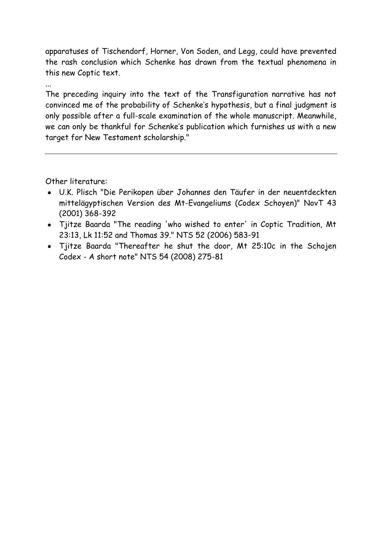apparatuses of Tischendorf, Horner, Von Soden, and Legg, could have prevented the rash conclusion which Schenke has drawn from the textual phenomena in this new Coptic text.

...

The preceding inquiry into the text of the Transfiguration narrative has not convinced me of the probability of Schenke's hypothesis, but a final judgment is only possible after a full-scale examination of the whole manuscript. Meanwhile, we can only be thankful for Schenke's publication which furnishes us with a new target for New Testament scholarship."

Other literature:

- U.K. Plisch "Die Perikopen über Johannes den Täufer in der neuentdeckten mittelägyptischen Version des Mt-Evangeliums (Codex Schoyen)" NovT 43 (2001) 368-392
- Tjitze Baarda "The reading 'who wished to enter' in Coptic Tradition, Mt 23:13, Lk 11:52 and Thomas 39." NTS 52 (2006) 583-91
- Tjitze Baarda "Thereafter he shut the door, Mt 25:10c in the Schojen Codex - A short note" NTS 54 (2008) 275-81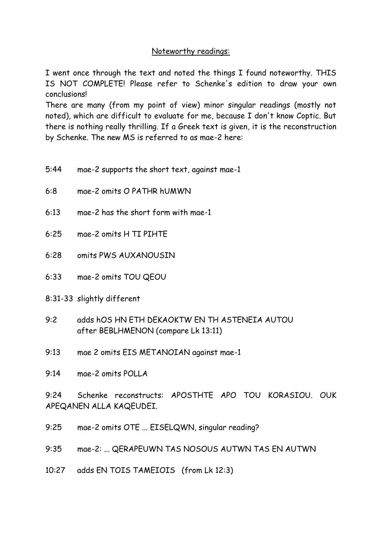## Noteworthy readings:

I went once through the text and noted the things I found noteworthy. THIS IS NOT COMPLETE! Please refer to Schenke's edition to draw your own conclusions!

There are many (from my point of view) minor singular readings (mostly not noted), which are difficult to evaluate for me, because I don't know Coptic. But there is nothing really thrilling. If a Greek text is given, it is the reconstruction by Schenke. The new MS is referred to as mae-2 here:

- 5:44 mae-2 supports the short text, against mae-1
- 6:8 mae-2 omits O PATHR hUMWN
- 6:13 mae-2 has the short form with mae-1
- 6:25 mae-2 omits H TI PIHTE
- 6:28 omits PWS AUXANOUSIN
- 6:33 mae-2 omits TOU QEOU
- 8:31-33 slightly different
- 9:2 adds hOS HN ETH DEKAOKTW EN TH ASTENEIA AUTOU after BEBLHMENON (compare Lk 13:11)
- 9:13 mae 2 omits EIS METANOIAN against mae-1
- 9:14 mae-2 omits POLLA

9:24 Schenke reconstructs: APOSTHTE APO TOU KORASIOU. OUK APEQANEN ALLA KAQEUDEI.

- 9:25 mae-2 omits OTE ... EISELQWN, singular reading?
- 9:35 mae-2: ... QERAPEUWN TAS NOSOUS AUTWN TAS EN AUTWN
- 10:27 adds EN TOIS TAMEIOIS (from Lk 12:3)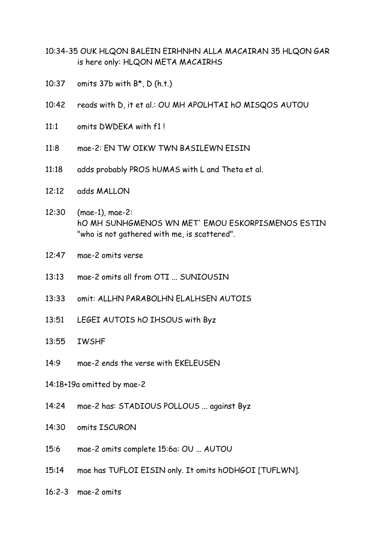- 10:34-35 OUK HLQON BALEIN EIRHNHN ALLA MACAIRAN 35 HLQON GAR is here only: HLQON META MACAIRHS
- 10:37 omits 37b with B\*, D (h.t.)
- 10:42 reads with D, it et al.: OU MH APOLHTAI hO MISQOS AUTOU
- 11:1 omits DWDEKA with f1 !
- 11:8 mae-2: EN TW OIKW TWN BASILEWN EISIN
- 11:18 adds probably PROS hUMAS with L and Theta et al.
- 12:12 adds MALLON
- 12:30 (mae-1), mae-2: hO MH SUNHGMENOS WN MET' EMOU ESKORPISMENOS ESTIN "who is not gathered with me, is scattered".
- 12:47 mae-2 omits verse
- 13:13 mae-2 omits all from OTI ... SUNIOUSIN
- 13:33 omit: ALLHN PARABOLHN ELALHSEN AUTOIS
- 13:51 LEGEI AUTOIS hO IHSOUS with Byz
- 13:55 IWSHF
- 14:9 mae-2 ends the verse with EKELEUSEN
- 14:18+19a omitted by mae-2
- 14:24 mae-2 has: STADIOUS POLLOUS ... against Byz
- 14:30 omits ISCURON
- 15:6 mae-2 omits complete 15:6a: OU ... AUTOU
- 15:14 mae has TUFLOI EISIN only. It omits hODHGOI [TUFLWN].
- 16:2-3 mae-2 omits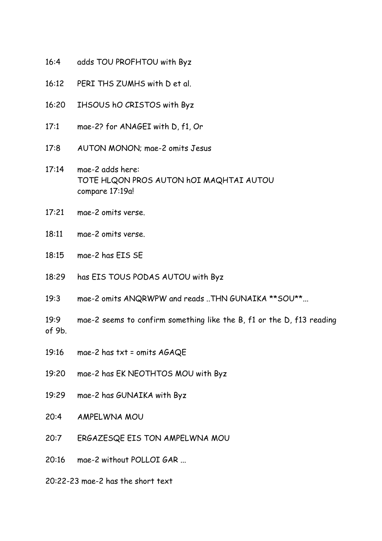- 16:4 adds TOU PROFHTOU with Byz
- 16:12 PERI THS ZUMHS with D et al.
- 16:20 IHSOUS hO CRISTOS with Byz
- 17:1 mae-2? for ANAGEI with D, f1, Or
- 17:8 AUTON MONON; mae-2 omits Jesus
- 17:14 mae-2 adds here: TOTE HLQON PROS AUTON hOI MAQHTAI AUTOU compare 17:19a!
- 17:21 mae-2 omits verse.
- 18:11 mae-2 omits verse.
- 18:15 mae-2 has EIS SE
- 18:29 has EIS TOUS PODAS AUTOU with Byz
- 19:3 mae-2 omits ANQRWPW and reads ..THN GUNAIKA \*\*SOU\*\*...
- 19:9 mae-2 seems to confirm something like the B, f1 or the D, f13 reading of 9b.
- 19:16 mae-2 has txt = omits AGAQE
- 19:20 mae-2 has EK NEOTHTOS MOU with Byz
- 19:29 mae-2 has GUNAIKA with Byz
- 20:4 AMPELWNA MOU
- 20:7 ERGAZESQE EIS TON AMPELWNA MOU
- 20:16 mae-2 without POLLOI GAR ...
- 20:22-23 mae-2 has the short text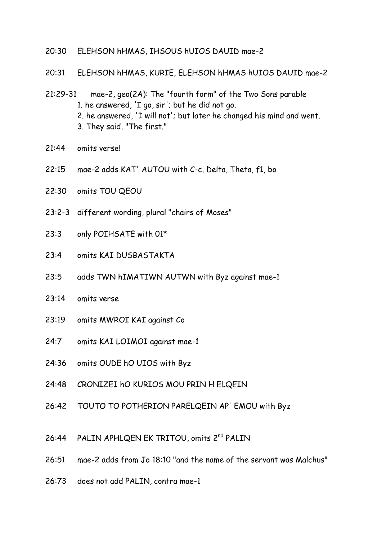- 20:30 ELEHSON hHMAS, IHSOUS hUIOS DAUID mae-2
- 20:31 ELEHSON hHMAS, KURIE, ELEHSON hHMAS hUIOS DAUID mae-2
- 21:29-31 mae-2, geo(2A): The "fourth form" of the Two Sons parable 1. he answered, 'I go, sir'; but he did not go. 2. he answered, 'I will not'; but later he changed his mind and went. 3. They said, "The first."
- 21:44 omits verse!
- 22:15 mae-2 adds KAT' AUTOU with C-c, Delta, Theta, f1, bo
- 22:30 omits TOU QEOU
- 23:2-3 different wording, plural "chairs of Moses"
- 23:3 only POIHSATE with 01\*
- 23:4 omits KAI DUSBASTAKTA
- 23:5 adds TWN hIMATIWN AUTWN with Byz against mae-1
- 23:14 omits verse
- 23:19 omits MWROI KAI against Co
- 24:7 omits KAI LOIMOI against mae-1
- 24:36 omits OUDE hO UIOS with Byz
- 24:48 CRONIZEI hO KURIOS MOU PRIN H ELQEIN
- 26:42 TOUTO TO POTHERION PARELQEIN AP' EMOU with Byz
- 26:44 PALIN APHLQEN EK TRITOU, omits 2<sup>nd</sup> PALIN
- 26:51 mae-2 adds from Jo 18:10 "and the name of the servant was Malchus"
- 26:73 does not add PALIN, contra mae-1